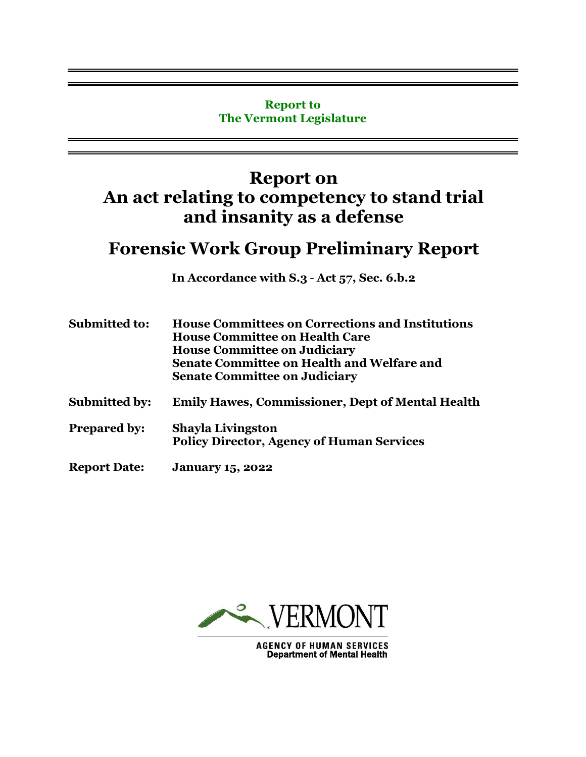#### **Report to The Vermont Legislature**

# **Report on An act relating to competency to stand trial and insanity as a defense**

# **Forensic Work Group Preliminary Report**

**In Accordance with S.3** - **Act 57, Sec. 6.b.2** 

| <b>Submitted to:</b> | <b>House Committees on Corrections and Institutions</b><br><b>House Committee on Health Care</b><br><b>House Committee on Judiciary</b><br><b>Senate Committee on Health and Welfare and</b><br><b>Senate Committee on Judiciary</b> |  |
|----------------------|--------------------------------------------------------------------------------------------------------------------------------------------------------------------------------------------------------------------------------------|--|
| <b>Submitted by:</b> | <b>Emily Hawes, Commissioner, Dept of Mental Health</b>                                                                                                                                                                              |  |
| <b>Prepared by:</b>  | <b>Shayla Livingston</b><br><b>Policy Director, Agency of Human Services</b>                                                                                                                                                         |  |
| <b>Report Date:</b>  | <b>January 15, 2022</b>                                                                                                                                                                                                              |  |



**AGENCY OF HUMAN SERVICES**<br>Department of Mental Health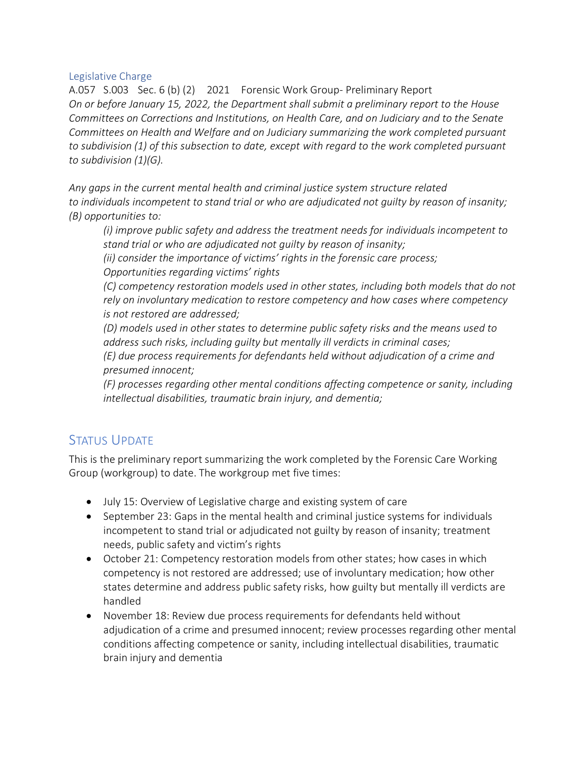### Legislative Charge

A.057 S.003 Sec. 6 (b) (2) 2021 Forensic Work Group- Preliminary Report *On or before January 15, 2022, the Department shall submit a preliminary report to the House Committees on Corrections and Institutions, on Health Care, and on Judiciary and to the Senate Committees on Health and Welfare and on Judiciary summarizing the work completed pursuant to subdivision (1) of this subsection to date, except with regard to the work completed pursuant to subdivision (1)(G).*

*Any gaps in the current mental health and criminal justice system structure related to individuals incompetent to stand trial or who are adjudicated not guilty by reason of insanity; (B) opportunities to:*

*(i) improve public safety and address the treatment needs for individuals incompetent to stand trial or who are adjudicated not guilty by reason of insanity;*

*(ii) consider the importance of victims' rights in the forensic care process; Opportunities regarding victims' rights*

*(C) competency restoration models used in other states, including both models that do not rely on involuntary medication to restore competency and how cases where competency is not restored are addressed;*

*(D) models used in other states to determine public safety risks and the means used to address such risks, including guilty but mentally ill verdicts in criminal cases;*

*(E) due process requirements for defendants held without adjudication of a crime and presumed innocent;*

*(F) processes regarding other mental conditions affecting competence or sanity, including intellectual disabilities, traumatic brain injury, and dementia;*

## STATUS UPDATE

This is the preliminary report summarizing the work completed by the Forensic Care Working Group (workgroup) to date. The workgroup met five times:

- July 15: Overview of Legislative charge and existing system of care
- September 23: Gaps in the mental health and criminal justice systems for individuals incompetent to stand trial or adjudicated not guilty by reason of insanity; treatment needs, public safety and victim's rights
- October 21: Competency restoration models from other states; how cases in which competency is not restored are addressed; use of involuntary medication; how other states determine and address public safety risks, how guilty but mentally ill verdicts are handled
- November 18: Review due process requirements for defendants held without adjudication of a crime and presumed innocent; review processes regarding other mental conditions affecting competence or sanity, including intellectual disabilities, traumatic brain injury and dementia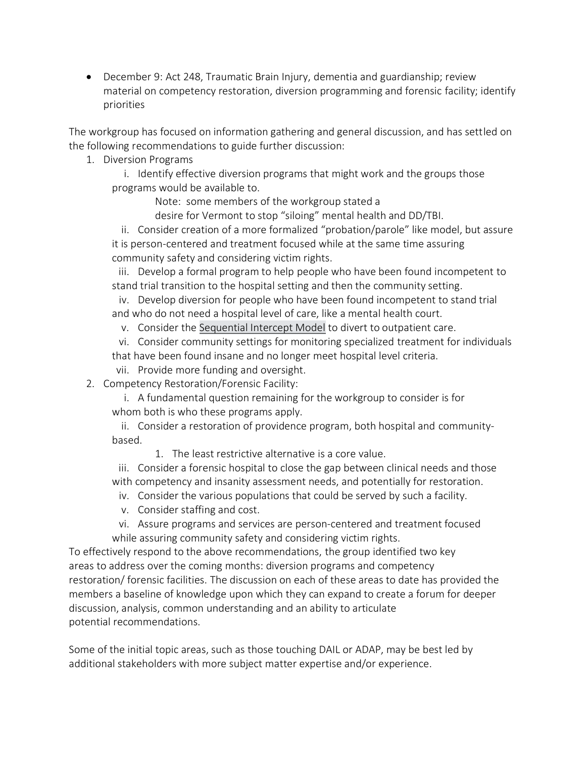• December 9: Act 248, Traumatic Brain Injury, dementia and guardianship; review material on competency restoration, diversion programming and forensic facility; identify priorities

The workgroup has focused on information gathering and general discussion, and has settled on the following recommendations to guide further discussion:

1. Diversion Programs

i. Identify effective diversion programs that might work and the groups those programs would be available to.

Note: some members of the workgroup stated a

desire for Vermont to stop "siloing" mental health and DD/TBI.

ii. Consider creation of a more formalized "probation/parole" like model, but assure it is person-centered and treatment focused while at the same time assuring community safety and considering victim rights.

iii. Develop a formal program to help people who have been found incompetent to stand trial transition to the hospital setting and then the community setting.

iv. Develop diversion for people who have been found incompetent to stand trial and who do not need a hospital level of care, like a mental health court.

v. Consider the [Sequential Intercept Model](https://www.samhsa.gov/criminal-juvenile-justice/sim-overview) to divert to outpatient care.

vi. Consider community settings for monitoring specialized treatment for individuals that have been found insane and no longer meet hospital level criteria.

- vii. Provide more funding and oversight.
- 2. Competency Restoration/Forensic Facility:

i. A fundamental question remaining for the workgroup to consider is for whom both is who these programs apply.

ii. Consider a restoration of providence program, both hospital and communitybased.

1. The least restrictive alternative is a core value.

iii. Consider a forensic hospital to close the gap between clinical needs and those with competency and insanity assessment needs, and potentially for restoration.

- iv. Consider the various populations that could be served by such a facility.
- v. Consider staffing and cost.
- vi. Assure programs and services are person-centered and treatment focused while assuring community safety and considering victim rights.

To effectively respond to the above recommendations, the group identified two key areas to address over the coming months: diversion programs and competency restoration/ forensic facilities. The discussion on each of these areas to date has provided the members a baseline of knowledge upon which they can expand to create a forum for deeper discussion, analysis, common understanding and an ability to articulate potential recommendations.

Some of the initial topic areas, such as those touching DAIL or ADAP, may be best led by additional stakeholders with more subject matter expertise and/or experience.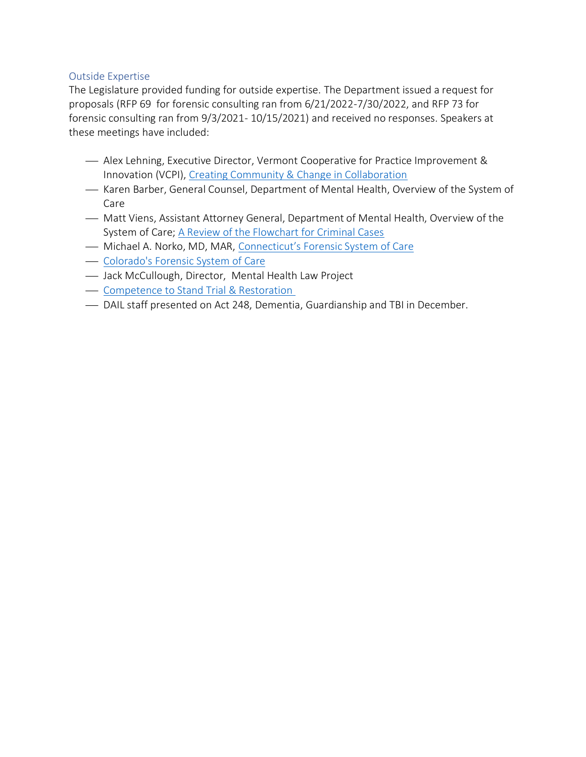### Outside Expertise

The Legislature provided funding for outside expertise. The Department issued a request for proposals (RFP 69 for forensic consulting ran from 6/21/2022-7/30/2022, and RFP 73 for forensic consulting ran from 9/3/2021- 10/15/2021) and received no responses. Speakers at these meetings have included:

- Alex Lehning, Executive Director, Vermont Cooperative for Practice Improvement & Innovation (VCPI), [Creating Community & Change in Collaboration](https://mentalhealth.vermont.gov/sites/mhnew/files/documents/AboutUs/Committees/FWG/VCPI_Forensic_WG_Community_07152021.pdf)
- Karen Barber, General Counsel, Department of Mental Health, Overview of the System of Care
- $-$  Matt Viens, Assistant Attorney General, Department of Mental Health, Overview of the System of Care; [A Review of the Flowchart for Criminal Cases](https://mentalhealth.vermont.gov/sites/mhnew/files/documents/AboutUs/Committees/FWG/Forensic_Working_Group_Notes_9-23-21.pdf)
- Michael A. Norko, MD, MAR, [Connecticut's Forensic System of Care](https://mentalhealth.vermont.gov/sites/mhnew/files/documents/AboutUs/Committees/FWG/Forensic_Working_Group_Notes_10-21-21.pdf)
- [Colorado's](file://///ahs.state.vt.us/ahsfiles/dmh/share/Legislature/2021-2022%20Legislative%20Session/2022/Legislative%20Reports/Act%2057%20Forensic%20Reports/%09https:/leg.colorado.gov/sites/default/files/documents/2019A/bills/2019a_223_enr.pdf) Forensic System of Care
- Jack McCullough, Director, Mental Health Law Project
- ⎯ [Competence to Stand Trial & Restoration](https://www.youtube.com/watch?v=ws8on9zdYzs)
- DAIL staff presented on Act 248, Dementia, Guardianship and TBI in December.